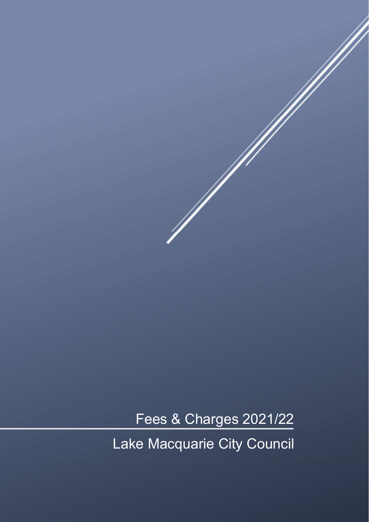Fees & Charges 2021/22

Lake Macquarie City Council

Ŋ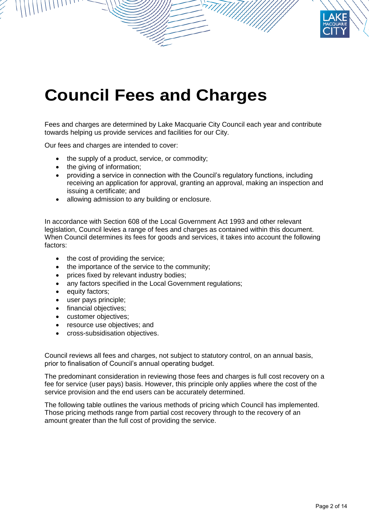

# **Council Fees and Charges**

Fees and charges are determined by Lake Macquarie City Council each year and contribute towards helping us provide services and facilities for our City.

Our fees and charges are intended to cover:

- the supply of a product, service, or commodity;
- the giving of information;
- providing a service in connection with the Council's regulatory functions, including receiving an application for approval, granting an approval, making an inspection and issuing a certificate; and
- allowing admission to any building or enclosure.

In accordance with Section 608 of the Local Government Act 1993 and other relevant legislation, Council levies a range of fees and charges as contained within this document. When Council determines its fees for goods and services, it takes into account the following factors:

- the cost of providing the service;
- the importance of the service to the community;
- prices fixed by relevant industry bodies;
- any factors specified in the Local Government regulations;
- equity factors;
- user pays principle;
- financial objectives:
- customer objectives:
- resource use objectives; and
- cross-subsidisation objectives.

Council reviews all fees and charges, not subject to statutory control, on an annual basis, prior to finalisation of Council's annual operating budget.

The predominant consideration in reviewing those fees and charges is full cost recovery on a fee for service (user pays) basis. However, this principle only applies where the cost of the service provision and the end users can be accurately determined.

The following table outlines the various methods of pricing which Council has implemented. Those pricing methods range from partial cost recovery through to the recovery of an amount greater than the full cost of providing the service.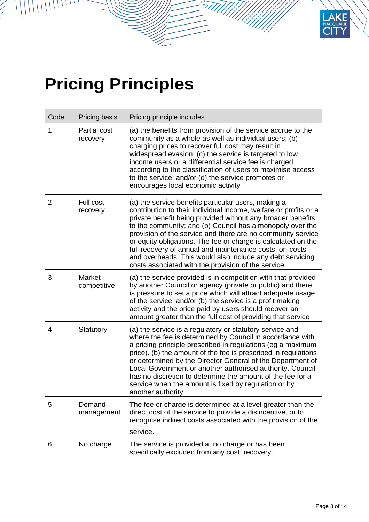# **Pricing Principles**

| Code           | Pricing basis                | Pricing principle includes                                                                                                                                                                                                                                                                                                                                                                                                                                                                                                                                         |
|----------------|------------------------------|--------------------------------------------------------------------------------------------------------------------------------------------------------------------------------------------------------------------------------------------------------------------------------------------------------------------------------------------------------------------------------------------------------------------------------------------------------------------------------------------------------------------------------------------------------------------|
| 1              | Partial cost<br>recovery     | (a) the benefits from provision of the service accrue to the<br>community as a whole as well as individual users; (b)<br>charging prices to recover full cost may result in<br>widespread evasion; (c) the service is targeted to low<br>income users or a differential service fee is charged<br>according to the classification of users to maximise access<br>to the service; and/or (d) the service promotes or<br>encourages local economic activity                                                                                                          |
| $\overline{2}$ | Full cost<br>recovery        | (a) the service benefits particular users, making a<br>contribution to their individual income, welfare or profits or a<br>private benefit being provided without any broader benefits<br>to the community; and (b) Council has a monopoly over the<br>provision of the service and there are no community service<br>or equity obligations. The fee or charge is calculated on the<br>full recovery of annual and maintenance costs, on-costs<br>and overheads. This would also include any debt servicing<br>costs associated with the provision of the service. |
| 3              | <b>Market</b><br>competitive | (a) the service provided is in competition with that provided<br>by another Council or agency (private or public) and there<br>is pressure to set a price which will attract adequate usage<br>of the service; and/or (b) the service is a profit making<br>activity and the price paid by users should recover an<br>amount greater than the full cost of providing that service                                                                                                                                                                                  |
| 4              | Statutory                    | (a) the service is a regulatory or statutory service and<br>where the fee is determined by Council in accordance with<br>a pricing principle prescribed in regulations (eg a maximum<br>price). (b) the amount of the fee is prescribed in regulations<br>or determined by the Director General of the Department of<br>Local Government or another authorised authority. Council<br>has no discretion to determine the amount of the fee for a<br>service when the amount is fixed by regulation or by<br>another authority                                       |
| 5              | Demand<br>management         | The fee or charge is determined at a level greater than the<br>direct cost of the service to provide a disincentive, or to<br>recognise indirect costs associated with the provision of the<br>service.                                                                                                                                                                                                                                                                                                                                                            |
| 6              | No charge                    | The service is provided at no charge or has been<br>specifically excluded from any cost recovery.                                                                                                                                                                                                                                                                                                                                                                                                                                                                  |
|                |                              |                                                                                                                                                                                                                                                                                                                                                                                                                                                                                                                                                                    |

**KE ARIE**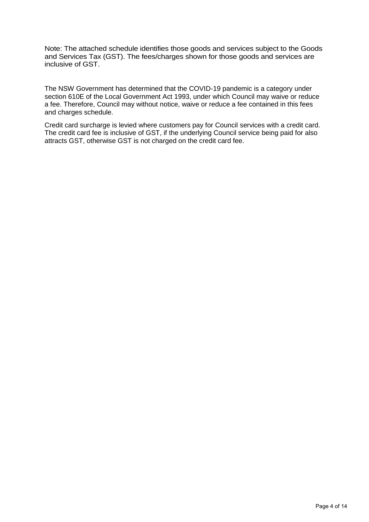Note: The attached schedule identifies those goods and services subject to the Goods and Services Tax (GST). The fees/charges shown for those goods and services are inclusive of GST.

The NSW Government has determined that the COVID-19 pandemic is a category under section 610E of the Local Government Act 1993, under which Council may waive or reduce a fee. Therefore, Council may without notice, waive or reduce a fee contained in this fees and charges schedule.

Credit card surcharge is levied where customers pay for Council services with a credit card. The credit card fee is inclusive of GST, if the underlying Council service being paid for also attracts GST, otherwise GST is not charged on the credit card fee.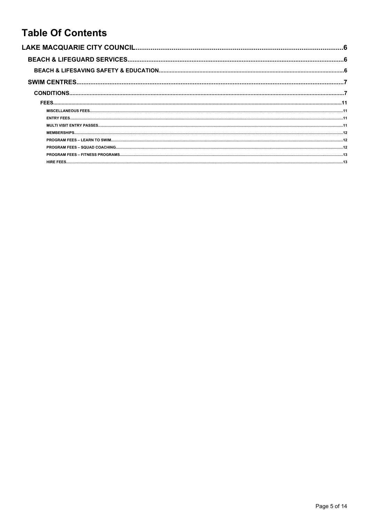# **Table Of Contents**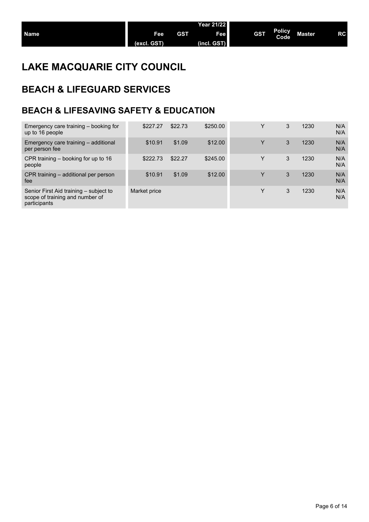## **LAKE MACQUARIE CITY COUNCIL**

# **BEACH & LIFEGUARD SERVICES**

## **BEACH & LIFESAVING SAFETY & EDUCATION**

| Emergency care training – booking for<br>up to 16 people                                  | \$227.27     | \$22.73 | \$250.00 | Y | 3 | 1230 | N/A<br>N/A |
|-------------------------------------------------------------------------------------------|--------------|---------|----------|---|---|------|------------|
| Emergency care training - additional<br>per person fee                                    | \$10.91      | \$1.09  | \$12.00  | Y | 3 | 1230 | N/A<br>N/A |
| CPR training $-$ booking for up to 16<br>people                                           | \$222.73     | \$22.27 | \$245.00 | Y | 3 | 1230 | N/A<br>N/A |
| CPR training – additional per person<br>fee                                               | \$10.91      | \$1.09  | \$12.00  | Y | 3 | 1230 | N/A<br>N/A |
| Senior First Aid training - subject to<br>scope of training and number of<br>participants | Market price |         |          | Y | 3 | 1230 | N/A<br>N/A |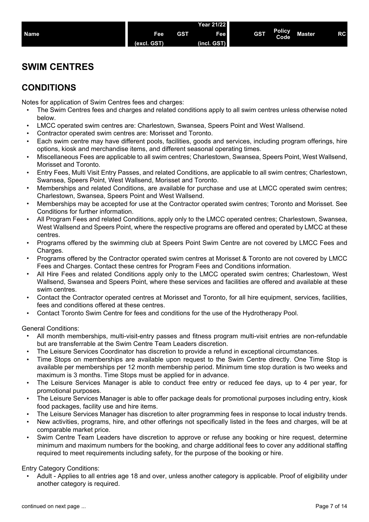|             |                     |            | <b>Year 21/22</b>  |            |                       |         |    |
|-------------|---------------------|------------|--------------------|------------|-----------------------|---------|----|
| <b>Name</b> | Feel<br>(excl. GST) | <b>GST</b> | Fee<br>(incl. GST) | <b>GST</b> | <b>Policy</b><br>Code | Master, | RC |
|             |                     |            |                    |            |                       |         |    |

## **SWIM CENTRES**

## **CONDITIONS**

Notes for application of Swim Centres fees and charges:

- The Swim Centres fees and charges and related conditions apply to all swim centres unless otherwise noted below.
- LMCC operated swim centres are: Charlestown, Swansea, Speers Point and West Wallsend.
- Contractor operated swim centres are: Morisset and Toronto.
- Each swim centre may have different pools, facilities, goods and services, including program offerings, hire options, kiosk and merchandise items, and different seasonal operating times.
- Miscellaneous Fees are applicable to all swim centres; Charlestown, Swansea, Speers Point, West Wallsend, Morisset and Toronto.
- Entry Fees, Multi Visit Entry Passes, and related Conditions, are applicable to all swim centres; Charlestown, Swansea, Speers Point, West Wallsend, Morisset and Toronto.
- Memberships and related Conditions, are available for purchase and use at LMCC operated swim centres; Charlestown, Swansea, Speers Point and West Wallsend.
- Memberships may be accepted for use at the Contractor operated swim centres; Toronto and Morisset. See Conditions for further information.
- All Program Fees and related Conditions, apply only to the LMCC operated centres; Charlestown, Swansea, West Wallsend and Speers Point, where the respective programs are offered and operated by LMCC at these centres.
- Programs offered by the swimming club at Speers Point Swim Centre are not covered by LMCC Fees and Charges.
- Programs offered by the Contractor operated swim centres at Morisset & Toronto are not covered by LMCC Fees and Charges. Contact these centres for Program Fees and Conditions information.
- All Hire Fees and related Conditions apply only to the LMCC operated swim centres; Charlestown, West Wallsend, Swansea and Speers Point, where these services and facilities are offered and available at these swim centres.
- Contact the Contractor operated centres at Morisset and Toronto, for all hire equipment, services, facilities, fees and conditions offered at these centres.
- Contact Toronto Swim Centre for fees and conditions for the use of the Hydrotherapy Pool.

General Conditions:

- All month memberships, multi-visit-entry passes and fitness program multi-visit entries are non-refundable but are transferrable at the Swim Centre Team Leaders discretion.
- The Leisure Services Coordinator has discretion to provide a refund in exceptional circumstances.
- Time Stops on memberships are available upon request to the Swim Centre directly. One Time Stop is available per memberships per 12 month membership period. Minimum time stop duration is two weeks and maximum is 3 months. Time Stops must be applied for in advance.
- The Leisure Services Manager is able to conduct free entry or reduced fee days, up to 4 per year, for promotional purposes.
- The Leisure Services Manager is able to offer package deals for promotional purposes including entry, kiosk food packages, facility use and hire items.
- The Leisure Services Manager has discretion to alter programming fees in response to local industry trends.
- New activities, programs, hire, and other offerings not specifically listed in the fees and charges, will be at comparable market price.
- Swim Centre Team Leaders have discretion to approve or refuse any booking or hire request, determine minimum and maximum numbers for the booking, and charge additional fees to cover any additional staffing required to meet requirements including safety, for the purpose of the booking or hire.

#### Entry Category Conditions:

• Adult - Applies to all entries age 18 and over, unless another category is applicable. Proof of eligibility under another category is required.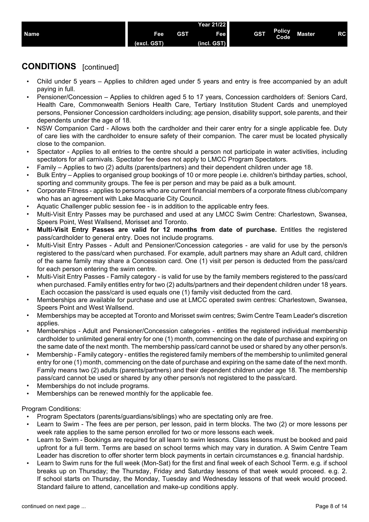

- Child under 5 years Applies to children aged under 5 years and entry is free accompanied by an adult paying in full.
- Pensioner/Concession Applies to children aged 5 to 17 years, Concession cardholders of: Seniors Card, Health Care, Commonwealth Seniors Health Care, Tertiary Institution Student Cards and unemployed persons, Pensioner Concession cardholders including; age pension, disability support, sole parents, and their dependents under the age of 18.
- NSW Companion Card Allows both the cardholder and their carer entry for a single applicable fee. Duty of care lies with the cardholder to ensure safety of their companion. The carer must be located physically close to the companion.
- Spectator Applies to all entries to the centre should a person not participate in water activities, including spectators for all carnivals. Spectator fee does not apply to LMCC Program Spectators.
- Family Applies to two (2) adults (parents/partners) and their dependent children under age 18.
- Bulk Entry Applies to organised group bookings of 10 or more people i.e. children's birthday parties, school, sporting and community groups. The fee is per person and may be paid as a bulk amount.
- Corporate Fitness applies to persons who are current financial members of a corporate fitness club/company who has an agreement with Lake Macquarie City Council.
- Aquatic Challenger public session fee is in addition to the applicable entry fees.
- Multi-Visit Entry Passes may be purchased and used at any LMCC Swim Centre: Charlestown, Swansea, Speers Point, West Wallsend, Morisset and Toronto.
- **Multi-Visit Entry Passes are valid for 12 months from date of purchase.** Entitles the registered pass/cardholder to general entry. Does not include programs.
- Multi-Visit Entry Passes Adult and Pensioner/Concession categories are valid for use by the person/s registered to the pass/card when purchased. For example, adult partners may share an Adult card, children of the same family may share a Concession card. One (1) visit per person is deducted from the pass/card for each person entering the swim centre.
- Multi-Visit Entry Passes Family category is valid for use by the family members registered to the pass/card when purchased. Family entitles entry for two (2) adults/partners and their dependent children under 18 years. Each occasion the pass/card is used equals one (1) family visit deducted from the card.
- Memberships are available for purchase and use at LMCC operated swim centres: Charlestown, Swansea, Speers Point and West Wallsend.
- Memberships may be accepted at Toronto and Morisset swim centres; Swim Centre Team Leader's discretion applies.
- Memberships Adult and Pensioner/Concession categories entitles the registered individual membership cardholder to unlimited general entry for one (1) month, commencing on the date of purchase and expiring on the same date of the next month. The membership pass/card cannot be used or shared by any other person/s.
- Membership Family category entitles the registered family members of the membership to unlimited general entry for one (1) month, commencing on the date of purchase and expiring on the same date of the next month. Family means two (2) adults (parents/partners) and their dependent children under age 18. The membership pass/card cannot be used or shared by any other person/s not registered to the pass/card.
- Memberships do not include programs.
- Memberships can be renewed monthly for the applicable fee.

#### Program Conditions:

- Program Spectators (parents/guardians/siblings) who are spectating only are free.
- Learn to Swim The fees are per person, per lesson, paid in term blocks. The two (2) or more lessons per week rate applies to the same person enrolled for two or more lessons each week.
- Learn to Swim Bookings are required for all learn to swim lessons. Class lessons must be booked and paid upfront for a full term. Terms are based on school terms which may vary in duration. A Swim Centre Team Leader has discretion to offer shorter term block payments in certain circumstances e.g. financial hardship.
- Learn to Swim runs for the full week (Mon-Sat) for the first and final week of each School Term. e.g. if school breaks up on Thursday; the Thursday, Friday and Saturday lessons of that week would proceed. e.g. 2. If school starts on Thursday, the Monday, Tuesday and Wednesday lessons of that week would proceed. Standard failure to attend, cancellation and make-up conditions apply.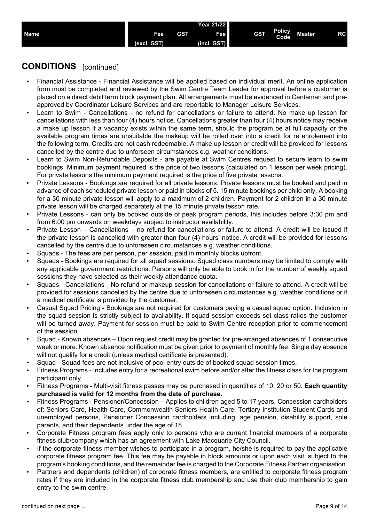|             |                                    |     | <b>Year 21/22</b>             |            |                       |        |    |
|-------------|------------------------------------|-----|-------------------------------|------------|-----------------------|--------|----|
| <b>Name</b> | Fee<br><b>GST</b><br>texe l<br>лы. | GST | Fee<br><b> GSTY</b><br>(incl. | <b>GST</b> | <b>Policy</b><br>Code | Master | RC |
|             |                                    |     |                               |            |                       |        |    |

- Financial Assistance Financial Assistance will be applied based on individual merit. An online application form must be completed and reviewed by the Swim Centre Team Leader for approval before a customer is placed on a direct debit term block payment plan. All arrangements must be evidenced in Centaman and preapproved by Coordinator Leisure Services and are reportable to Manager Leisure Services.
- Learn to Swim Cancellations no refund for cancellations or failure to attend. No make up lesson for cancellations with less than four (4) hours notice. Cancellations greater than four (4) hours notice may receive a make up lesson if a vacancy exists within the same term, should the program be at full capacity or the available program times are unsuitable the makeup will be rolled over into a credit for re enrolement into the following term. Credits are not cash redeemable. A make up lesson or credit will be provided for lessons cancelled by the centre due to unforseen circumstances e.g. weather conditions.
- Learn to Swim Non-Refundable Deposits are payable at Swim Centres request to secure learn to swim bookings. Minimum payment required is the price of two lessons (calculated on 1 lesson per week pricing). For private lessons the minimum payment required is the price of five private lessons.
- Private Lessons Bookings are required for all private lessons. Private lessons must be booked and paid in advance of each scheduled private lesson or paid in blocks of 5. 15 minute bookings per child only. A booking for a 30 minute private lesson will apply to a maximum of 2 children. Payment for 2 children in a 30 minute private lesson will be charged separately at the 15 minute private lesson rate.
- Private Lessons can only be booked outside of peak program periods, this includes before 3:30 pm and from 6:00 pm onwards on weekdays subject to instructor availability.
- Private Lesson Cancellations no refund for cancellations or failure to attend. A credit will be issued if the private lesson is cancelled with greater than four (4) hours' notice. A credit will be provided for lessons cancelled by the centre due to unforeseen circumstances e.g. weather conditions.
- Squads The fees are per person, per session, paid in monthly blocks upfront.
- Squads Bookings are required for all squad sessions. Squad class numbers may be limited to comply with any applicable government restrictions. Persons will only be able to book in for the number of weekly squad sessions they have selected as their weekly attendance quota.
- Squads Cancellations No refund or makeup session for cancellations or failure to attend. A credit will be provided for sessions cancelled by the centre due to unforeseen circumstances e.g. weather conditions or if a medical certificate is provided by the customer.
- Casual Squad Pricing Bookings are not required for customers paying a casual squad option. Inclusion in the squad session is strictly subject to availability. If squad session exceeds set class ratios the customer will be turned away. Payment for session must be paid to Swim Centre reception prior to commencement of the session.
- Squad Known absences Upon request credit may be granted for pre-arranged absences of 1 consecutive week or more. Known absence notification must be given prior to payment of monthly fee. Single day absence will not qualify for a credit (unless medical certificate is presented).
- Squad Squad fees are not inclusive of pool entry outside of booked squad session times.
- Fitness Programs Includes entry for a recreational swim before and/or after the fitness class for the program participant only.
- Fitness Programs Multi-visit fitness passes may be purchased in quantities of 10, 20 or 50. **Each quantity purchased is valid for 12 months from the date of purchase.**
- Fitness Programs Pensioner/Concession Applies to children aged 5 to 17 years, Concession cardholders of: Seniors Card, Health Care, Commonwealth Seniors Health Care, Tertiary Institution Student Cards and unemployed persons, Pensioner Concession cardholders including; age pension, disability support, sole parents, and their dependents under the age of 18.
- Corporate Fitness program fees apply only to persons who are current financial members of a corporate fitness club/company which has an agreement with Lake Macquarie City Council.
- If the corporate fitness member wishes to participate in a program, he/she is required to pay the applicable corporate fitness program fee. This fee may be payable in block amounts or upon each visit, subject to the program's booking conditions, and the remainder fee is charged to the Corporate Fitness Partner organisation.
- Partners and dependents (children) of corporate fitness members, are entitled to corporate fitness program rates if they are included in the corporate fitness club membership and use their club membership to gain entry to the swim centre.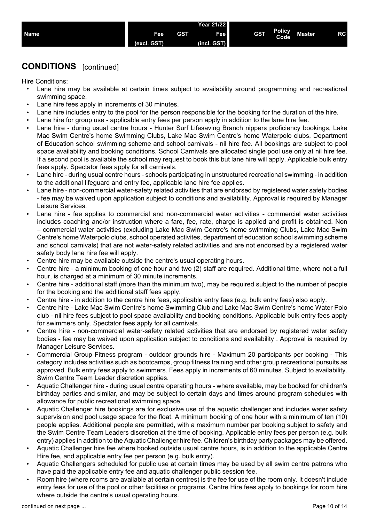

Hire Conditions:

- Lane hire may be available at certain times subject to availability around programming and recreational swimming space.
- Lane hire fees apply in increments of 30 minutes.
- Lane hire includes entry to the pool for the person responsible for the booking for the duration of the hire.
- Lane hire for group use applicable entry fees per person apply in addition to the lane hire fee.
- Lane hire during usual centre hours Hunter Surf Lifesaving Branch nippers proficiency bookings, Lake Mac Swim Centre's home Swimming Clubs, Lake Mac Swim Centre's home Waterpolo clubs, Department of Education school swimming scheme and school carnivals - nil hire fee. All bookings are subject to pool space availability and booking conditions. School Carnivals are allocated single pool use only at nil hire fee. If a second pool is available the school may request to book this but lane hire will apply. Applicable bulk entry fees apply. Spectator fees apply for all carnivals.
- Lane hire during usual centre hours schools participating in unstructured recreational swimming in addition to the additional lifeguard and entry fee, applicable lane hire fee applies.
- Lane hire non-commercial water-safety related activities that are endorsed by registered water safety bodies - fee may be waived upon application subject to conditions and availability. Approval is required by Manager Leisure Services.
- Lane hire fee applies to commercial and non-commercial water activities commercial water activities includes coaching and/or instruction where a fare, fee, rate, charge is applied and profit is obtained. Non – commercial water activities (excluding Lake Mac Swim Centre's home swimming Clubs, Lake Mac Swim Centre's home Waterpolo clubs, school operated activites, department of education school swimming scheme and school carnivals) that are not water-safety related activities and are not endorsed by a registered water safety body lane hire fee will apply.
- Centre hire may be available outside the centre's usual operating hours.
- Centre hire a minimum booking of one hour and two (2) staff are required. Additional time, where not a full hour, is charged at a minimum of 30 minute increments.
- Centre hire additional staff (more than the minimum two), may be required subject to the number of people for the booking and the additional staff fees apply.
- Centre hire in addition to the centre hire fees, applicable entry fees (e.g. bulk entry fees) also apply.
- Centre hire Lake Mac Swim Centre's home Swimming Club and Lake Mac Swim Centre's home Water Polo club - nil hire fees subject to pool space availability and booking conditions. Applicable bulk entry fees apply for swimmers only. Spectator fees apply for all carnivals.
- Centre hire non-commercial water-safety related activities that are endorsed by registered water safety bodies - fee may be waived upon application subject to conditions and availability . Approval is required by Manager Leisure Services.
- Commercial Group Fitness program outdoor grounds hire Maximum 20 participants per booking This category includes activities such as bootcamps, group fitness training and other group recreational pursuits as approved. Bulk entry fees apply to swimmers. Fees apply in increments of 60 minutes. Subject to availability. Swim Centre Team Leader discretion applies.
- Aquatic Challenger hire during usual centre operating hours where available, may be booked for children's birthday parties and similar, and may be subject to certain days and times around program schedules with allowance for public recreational swimming space.
- Aquatic Challenger hire bookings are for exclusive use of the aquatic challenger and includes water safety supervision and pool usage space for the float. A minimum booking of one hour with a minimum of ten (10) people applies. Additional people are permitted, with a maximum number per booking subject to safety and the Swim Centre Team Leaders discretion at the time of booking. Applicable entry fees per person (e.g. bulk entry) applies in addition to the Aquatic Challenger hire fee. Children's birthday party packages may be offered.
- Aquatic Challenger hire fee where booked outside usual centre hours, is in addition to the applicable Centre Hire fee, and applicable entry fee per person (e.g. bulk entry).
- Aquatic Challengers scheduled for public use at certain times may be used by all swim centre patrons who have paid the applicable entry fee and aquatic challenger public session fee.
- Room hire (where rooms are available at certain centres) is the fee for use of the room only. It doesn't include entry fees for use of the pool or other facilities or programs. Centre Hire fees apply to bookings for room hire where outside the centre's usual operating hours.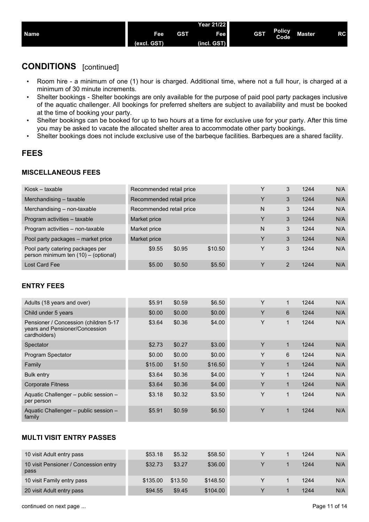|             |             |            | Year 21/22 l |            |                |               |    |
|-------------|-------------|------------|--------------|------------|----------------|---------------|----|
| <b>Name</b> | <b>Fee</b>  | <b>GST</b> | Fee          | <b>GST</b> | Policy<br>Code | <b>Master</b> | RC |
|             | (excl. GST) |            | (incl. GST)  |            |                |               |    |

- Room hire a minimum of one (1) hour is charged. Additional time, where not a full hour, is charged at a minimum of 30 minute increments.
- Shelter bookings Shelter bookings are only available for the purpose of paid pool party packages inclusive of the aquatic challenger. All bookings for preferred shelters are subject to availability and must be booked at the time of booking your party.
- Shelter bookings can be booked for up to two hours at a time for exclusive use for your party. After this time you may be asked to vacate the allocated shelter area to accommodate other party bookings.
- Shelter bookings does not include exclusive use of the barbeque facilities. Barbeques are a shared facility.

### **FEES**

#### **MISCELLANEOUS FEES**

| Kiosk – taxable                                                          | Recommended retail price |        |         | Y | 3 | 1244 | N/A |
|--------------------------------------------------------------------------|--------------------------|--------|---------|---|---|------|-----|
| Merchandising - taxable                                                  | Recommended retail price |        |         | Υ | 3 | 1244 | N/A |
| Merchandising - non-taxable                                              | Recommended retail price |        |         | N | 3 | 1244 | N/A |
| Program activities - taxable                                             | Market price             |        |         | ٧ | 3 | 1244 | N/A |
| Program activities - non-taxable                                         | Market price             |        |         | N | 3 | 1244 | N/A |
| Pool party packages – market price                                       | Market price             |        |         | Y | 3 | 1244 | N/A |
| Pool party catering packages per<br>person minimum ten (10) - (optional) | \$9.55                   | \$0.95 | \$10.50 | Y | 3 | 1244 | N/A |
| Lost Card Fee                                                            | \$5.00                   | \$0.50 | \$5.50  |   | 2 | 1244 | N/A |

#### **ENTRY FEES**

| Adults (18 years and over)                                                              | \$5.91  | \$0.59 | \$6.50  | Y | 1           | 1244 | N/A |
|-----------------------------------------------------------------------------------------|---------|--------|---------|---|-------------|------|-----|
| Child under 5 years                                                                     | \$0.00  | \$0.00 | \$0.00  | Y | 6           | 1244 | N/A |
| Pensioner / Concession (children 5-17<br>years and Pensioner/Concession<br>cardholders) | \$3.64  | \$0.36 | \$4.00  | Y | 1           | 1244 | N/A |
| Spectator                                                                               | \$2.73  | \$0.27 | \$3.00  | Y | $\mathbf 1$ | 1244 | N/A |
| Program Spectator                                                                       | \$0.00  | \$0.00 | \$0.00  | Y | 6           | 1244 | N/A |
| Family                                                                                  | \$15.00 | \$1.50 | \$16.50 | Y | 1           | 1244 | N/A |
| <b>Bulk entry</b>                                                                       | \$3.64  | \$0.36 | \$4.00  | Y | 1           | 1244 | N/A |
| <b>Corporate Fitness</b>                                                                | \$3.64  | \$0.36 | \$4.00  | Y | $\mathbf 1$ | 1244 | N/A |
| Aquatic Challenger - public session -<br>per person                                     | \$3.18  | \$0.32 | \$3.50  | Y | 1           | 1244 | N/A |
| Aquatic Challenger – public session –<br>family                                         | \$5.91  | \$0.59 | \$6.50  | Y | 1           | 1244 | N/A |

### **MULTI VISIT ENTRY PASSES**

| 10 visit Adult entry pass                     | \$53.18  | \$5.32  | \$58.50  |  | 1244 | N/A |
|-----------------------------------------------|----------|---------|----------|--|------|-----|
| 10 visit Pensioner / Concession entry<br>pass | \$32.73  | \$3.27  | \$36.00  |  | 1244 | N/A |
| 10 visit Family entry pass                    | \$135.00 | \$13.50 | \$148.50 |  | 1244 | N/A |
| 20 visit Adult entry pass                     | \$94.55  | \$9.45  | \$104.00 |  | 1244 | N/A |

continued on next page ...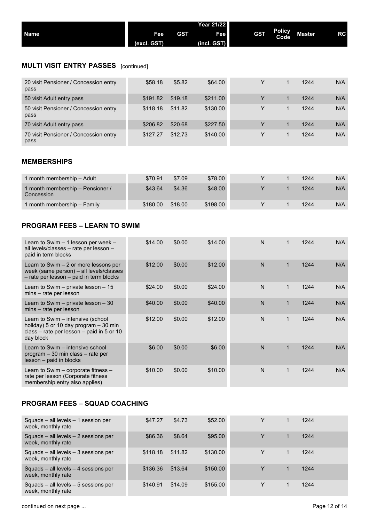|             |             |            | <b>Year 21/22</b> |            |                       |        |           |
|-------------|-------------|------------|-------------------|------------|-----------------------|--------|-----------|
| <b>Name</b> | <b>Fee</b>  | <b>GST</b> | Feel              | <b>GST</b> | <b>Policy</b><br>Code | Master | <b>RC</b> |
|             | (excl. GST) |            | (incl. GST)       |            |                       |        |           |

## **MULTI VISIT ENTRY PASSES** [continued]

| 20 visit Pensioner / Concession entry<br>pass | \$58.18  | \$5.82  | \$64.00  | Y | 1244 | N/A |
|-----------------------------------------------|----------|---------|----------|---|------|-----|
| 50 visit Adult entry pass                     | \$191.82 | \$19.18 | \$211.00 |   | 1244 | N/A |
| 50 visit Pensioner / Concession entry<br>pass | \$118.18 | \$11.82 | \$130.00 | Y | 1244 | N/A |
| 70 visit Adult entry pass                     | \$206.82 | \$20.68 | \$227.50 |   | 1244 | N/A |
| 70 visit Pensioner / Concession entry<br>pass | \$127.27 | \$12.73 | \$140.00 | Y | 1244 | N/A |

#### **MEMBERSHIPS**

| 1 month membership – Adult                     | \$70.91  | \$7.09  | \$78.00  |  | 1244 | N/A |
|------------------------------------------------|----------|---------|----------|--|------|-----|
| 1 month membership - Pensioner /<br>Concession | \$43.64  | \$4.36  | \$48.00  |  | 1244 | N/A |
| 1 month membership – Family                    | \$180.00 | \$18.00 | \$198.00 |  | 1244 | N/A |

#### **PROGRAM FEES – LEARN TO SWIM**

| Learn to Swim $-1$ lesson per week $-$<br>all levels/classes - rate per lesson -<br>paid in term blocks                               | \$14.00 | \$0.00 | \$14.00 | N            |             | 1244 | N/A |
|---------------------------------------------------------------------------------------------------------------------------------------|---------|--------|---------|--------------|-------------|------|-----|
| Learn to Swim $-2$ or more lessons per<br>week (same person) – all levels/classes<br>- rate per lesson - paid in term blocks          | \$12.00 | \$0.00 | \$12.00 | N            | $\mathbf 1$ | 1244 | N/A |
| Learn to Swim $-$ private lesson $-15$<br>mins – rate per lesson                                                                      | \$24.00 | \$0.00 | \$24.00 | $\mathsf{N}$ | $\mathbf 1$ | 1244 | N/A |
| Learn to Swim $-$ private lesson $-30$<br>mins – rate per lesson                                                                      | \$40.00 | \$0.00 | \$40.00 | N            | $\mathbf 1$ | 1244 | N/A |
| Learn to Swim – intensive (school<br>holiday) 5 or 10 day program $-30$ min<br>class – rate per lesson – paid in 5 or 10<br>day block | \$12.00 | \$0.00 | \$12.00 | N            | $\mathbf 1$ | 1244 | N/A |
| Learn to Swim – intensive school<br>$program - 30 min class - rate per$<br>lesson – paid in blocks                                    | \$6.00  | \$0.00 | \$6.00  | N            |             | 1244 | N/A |
| Learn to Swim $-$ corporate fitness $-$<br>rate per lesson (Corporate fitness<br>membership entry also applies)                       | \$10.00 | \$0.00 | \$10.00 | N            | 1           | 1244 | N/A |

#### **PROGRAM FEES – SQUAD COACHING**

| Squads - all levels - 1 session per<br>week, monthly rate      | \$47.27  | \$4.73  | \$52.00  |  | 1244 |  |
|----------------------------------------------------------------|----------|---------|----------|--|------|--|
| Squads - all levels - 2 sessions per<br>week, monthly rate     | \$86.36  | \$8.64  | \$95.00  |  | 1244 |  |
| Squads - all levels - 3 sessions per<br>week, monthly rate     | \$118.18 | \$11.82 | \$130.00 |  | 1244 |  |
| Squads $-$ all levels $-$ 4 sessions per<br>week, monthly rate | \$136.36 | \$13.64 | \$150.00 |  | 1244 |  |
| Squads - all levels - 5 sessions per<br>week, monthly rate     | \$140.91 | \$14.09 | \$155.00 |  | 1244 |  |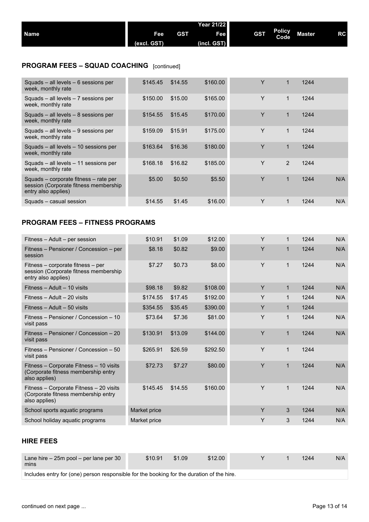| <b>Name</b>                                      | Fee<br>(excl. GST) | <b>GST</b> | Year 21/22<br>Fee<br>(incl. GST) | <b>GST</b> | <b>Policy</b><br>Code | <b>Master</b> | RC |
|--------------------------------------------------|--------------------|------------|----------------------------------|------------|-----------------------|---------------|----|
| <b>PROGRAM FEES - SQUAD COACHING</b> [continued] |                    |            |                                  |            |                       |               |    |

| Squads $-$ all levels $-$ 6 sessions per<br>week, monthly rate                                        | \$145.45 | \$14.55 | \$160.00 | Υ | $\mathbf 1$ | 1244 |     |
|-------------------------------------------------------------------------------------------------------|----------|---------|----------|---|-------------|------|-----|
| Squads $-$ all levels $-$ 7 sessions per<br>week, monthly rate                                        | \$150.00 | \$15.00 | \$165.00 | Y | 1           | 1244 |     |
| Squads $-$ all levels $-$ 8 sessions per<br>week, monthly rate                                        | \$154.55 | \$15.45 | \$170.00 | Y | 1           | 1244 |     |
| Squads $-$ all levels $-9$ sessions per<br>week, monthly rate                                         | \$159.09 | \$15.91 | \$175.00 | Y | $\mathbf 1$ | 1244 |     |
| Squads – all levels – 10 sessions per<br>week, monthly rate                                           | \$163.64 | \$16.36 | \$180.00 | Y | 1           | 1244 |     |
| Squads – all levels – 11 sessions per<br>week, monthly rate                                           | \$168.18 | \$16.82 | \$185.00 | Y | 2           | 1244 |     |
| Squads – corporate fitness – rate per<br>session (Corporate fitness membership<br>entry also applies) | \$5.00   | \$0.50  | \$5.50   | Υ | 1           | 1244 | N/A |
| Squads - casual session                                                                               | \$14.55  | \$1.45  | \$16.00  | Y |             | 1244 | N/A |
|                                                                                                       |          |         |          |   |             |      |     |

## **PROGRAM FEES – FITNESS PROGRAMS**

| Fitness – Adult – per session                                                                     | \$10.91      | \$1.09  | \$12.00  | Y |              | 1244 | N/A |
|---------------------------------------------------------------------------------------------------|--------------|---------|----------|---|--------------|------|-----|
| Fitness – Pensioner / Concession – per<br>session                                                 | \$8.18       | \$0.82  | \$9.00   | Y | $\mathbf 1$  | 1244 | N/A |
| Fitness – corporate fitness – per<br>session (Corporate fitness membership<br>entry also applies) | \$7.27       | \$0.73  | \$8.00   | Y | $\mathbf{1}$ | 1244 | N/A |
| Fitness - Adult - 10 visits                                                                       | \$98.18      | \$9.82  | \$108.00 | Y | $\mathbf{1}$ | 1244 | N/A |
| Fitness - Adult - 20 visits                                                                       | \$174.55     | \$17.45 | \$192.00 | Y | $\mathbf{1}$ | 1244 | N/A |
| Fitness - Adult - 50 visits                                                                       | \$354.55     | \$35.45 | \$390.00 | Y | $\mathbf 1$  | 1244 |     |
| Fitness – Pensioner / Concession – 10<br>visit pass                                               | \$73.64      | \$7.36  | \$81.00  | Y | $\mathbf{1}$ | 1244 | N/A |
| Fitness – Pensioner / Concession – 20<br>visit pass                                               | \$130.91     | \$13.09 | \$144.00 | Y | $\mathbf{1}$ | 1244 | N/A |
| Fitness – Pensioner / Concession – 50<br>visit pass                                               | \$265.91     | \$26.59 | \$292.50 | Y | $\mathbf{1}$ | 1244 |     |
| Fitness – Corporate Fitness – 10 visits<br>(Corporate fitness membership entry<br>also applies)   | \$72.73      | \$7.27  | \$80.00  | Y | $\mathbf 1$  | 1244 | N/A |
| Fitness - Corporate Fitness - 20 visits<br>(Corporate fitness membership entry<br>also applies)   | \$145.45     | \$14.55 | \$160.00 | Y | $\mathbf{1}$ | 1244 | N/A |
| School sports aquatic programs                                                                    | Market price |         |          | Y | 3            | 1244 | N/A |
| School holiday aquatic programs                                                                   | Market price |         |          | Y | 3            | 1244 | N/A |

#### **HIRE FEES**

| Lane hire $-25m$ pool $-$ per lane per 30<br>mins                                         | \$10.91 | \$1.09 | \$12.00 |  |  | 1244 | N/A |  |  |
|-------------------------------------------------------------------------------------------|---------|--------|---------|--|--|------|-----|--|--|
| Includes entry for (one) person responsible for the booking for the duration of the hire. |         |        |         |  |  |      |     |  |  |